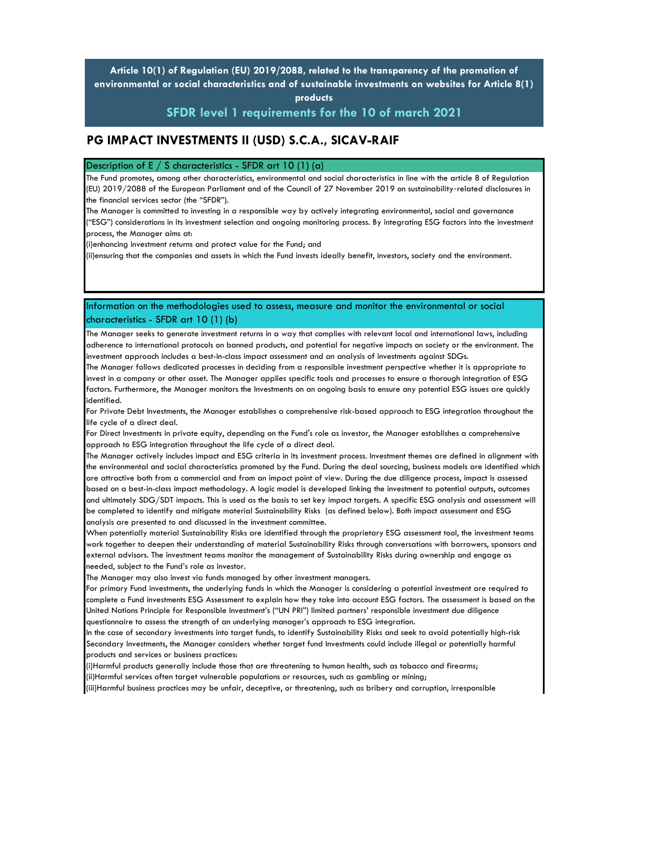**Article 10(1) of Regulation (EU) 2019/2088, related to the transparency of the promotion of environmental or social characteristics and of sustainable investments on websites for Article 8(1) products** 

**SFDR level 1 requirements for the 10 of march 2021**

## **PG IMPACT INVESTMENTS II (USD) S.C.A., SICAV-RAIF**

Description of E  $/$  S characteristics - SFDR art 10 (1) (a)

The Fund promotes, among other characteristics, environmental and social characteristics in line with the article 8 of Regulation (EU) 2019/2088 of the European Parliament and of the Council of 27 November 2019 on sustainability-related disclosures in the financial services sector (the "SFDR").

The Manager is committed to investing in a responsible way by actively integrating environmental, social and governance ("ESG") considerations in its investment selection and ongoing monitoring process. By integrating ESG factors into the investment process, the Manager aims at:

(i)enhancing investment returns and protect value for the Fund; and

(ii)ensuring that the companies and assets in which the Fund invests ideally benefit, investors, society and the environment.

## Information on the methodologies used to assess, measure and monitor the environmental or social characteristics - SFDR art 10 (1) (b)

The Manager seeks to generate investment returns in a way that complies with relevant local and international laws, including adherence to international protocols on banned products, and potential for negative impacts on society or the environment. The investment approach includes a best-in-class impact assessment and an analysis of investments against SDGs.

The Manager follows dedicated processes in deciding from a responsible investment perspective whether it is appropriate to invest in a company or other asset. The Manager applies specific tools and processes to ensure a thorough integration of ESG factors. Furthermore, the Manager monitors the Investments on an ongoing basis to ensure any potential ESG issues are quickly identified.

For Private Debt Investments, the Manager establishes a comprehensive risk-based approach to ESG integration throughout the life cycle of a direct deal.

For Direct Investments in private equity, depending on the Fund's role as investor, the Manager establishes a comprehensive approach to ESG integration throughout the life cycle of a direct deal.

The Manager actively includes impact and ESG criteria in its investment process. Investment themes are defined in alignment with the environmental and social characteristics promoted by the Fund. During the deal sourcing, business models are identified which are attractive both from a commercial and from an impact point of view. During the due diligence process, impact is assessed based on a best-in-class impact methodology. A logic model is developed linking the investment to potential outputs, outcomes and ultimately SDG/SDT impacts. This is used as the basis to set key impact targets. A specific ESG analysis and assessment will be completed to identify and mitigate material Sustainability Risks (as defined below). Both impact assessment and ESG analysis are presented to and discussed in the investment committee.

When potentially material Sustainability Risks are identified through the proprietary ESG assessment tool, the investment teams work together to deepen their understanding of material Sustainability Risks through conversations with borrowers, sponsors and external advisors. The investment teams monitor the management of Sustainability Risks during ownership and engage as needed, subject to the Fund's role as investor.

The Manager may also invest via funds managed by other investment managers.

For primary Fund investments, the underlying funds in which the Manager is considering a potential investment are required to complete a Fund investments ESG Assessment to explain how they take into account ESG factors. The assessment is based on the United Nations Principle for Responsible Investment's ("UN PRI") limited partners' responsible investment due diligence questionnaire to assess the strength of an underlying manager's approach to ESG integration.

In the case of secondary investments into target funds, to identify Sustainability Risks and seek to avoid potentially high-risk Secondary Investments, the Manager considers whether target fund Investments could include illegal or potentially harmful products and services or business practices:

(i)Harmful products generally include those that are threatening to human health, such as tobacco and firearms; (ii)Harmful services often target vulnerable populations or resources, such as gambling or mining;

(iii)Harmful business practices may be unfair, deceptive, or threatening, such as bribery and corruption, irresponsible